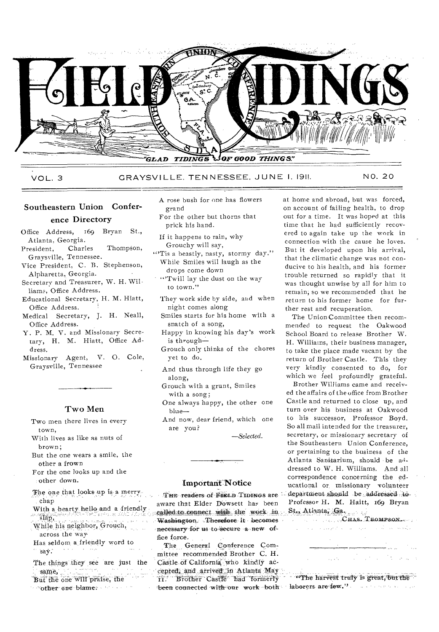

VOL. 3 GRAYSVILLE. TENNESSEE, JUNE I, 191!. NO. 20

### Southeastern Union Confer-

#### ence Directory

- Office Address, 169 Bryan St., Atlanta, Georgia.<br>resident, Charles
- President, Charles Thompson, Graysville, Tennessee.
- Vice President, C. B. Stephenson, Alpharetta, Georgia.
- Secretary and Treasurer, W. H. Williams, Office Address.
- Educational Secretary, H. M. Hiatt, Office Address.
- Medical Secretary, J. H. Neall, Office Address.
- Y. P. M. V. and Missionary Secretary, H. M. Hiatt, Office Address,
- Missionary Agent, V. 0. Cole, Graysville, Tennessee

#### Two Men

- Two men there lives in every town,
- With lives as like as nuts of brown;
- But the one wears a smile, the other a frown
- For the one looks up and the other down.
- The one that looks up is a merry, chap
- With a hearty hello and a friendly.<br>Slap
- While his neighbor, Grouch, across the way
- Has seldom, a friendly word to say.
- The things they see are just the But the one will praise, the
- other one blame: www.com
- A rose bush for one has flowers grand
- For the other but thorns that prick his hand.
- If it happens to rain, why Grouchy will say,
- "Tis a beastly, nasty, stormy day." While Smiles will laugh as the drops come down
	- $"$ Twill lay the dust on the way to town."
	- They work side by side, and when night comes along
	- Smiles starts for his home with a snatch of a song,
	- Happy in knowing his day's work is through—
	- Grouch only thinks of the chores yet to do.
	- And thus through life they go along,
	- Grouch with a grunt, Smiles with a song;
	- One always happy, the other one blue—
	- And now, dear friend, which one are you?

*—Selected.* 

## Important Notice

THE readers of FIELD TIDINGS are aware that Elder DoWsett has been called to connect with the work in Washington. Therefore it becomes necessary for us to secure a new office force.

The General Conference Committee recommended Brother C. H. Castle, of California who kindly aecepted, and arrived in Atlanta May 11. Brother Castle had formerly been connected with our work both - laborers are few.".

at home and abroad, but was forced, on account of failing health, to drop out for a time. It was hoped at this time that he had sufficiently recovered to again take up the work in connection with the cause he loves. But it developed upon his arrival, that the climatic change was not conducive to his health, and his former trouble returned so rapidly that it was thought unwise by all for him to remain; so we recommended that he return to his former home for further rest and recuperation.

The Union Committee then recommended to request the Oakwood School Board to release Brother W. H. Williams, their business manager, to take the place made vacant by the return of Brother Castle. This they very kindly consented to do, for which we feel profoundly grateful.

Brother Williams came and received the affairs of the office from Brother Castle and returned to close up, and turn over his business at Oakwood to his successor, Professor Boyd. So all mail intended for the treasurer, secretary, or missionary secretary of the Southeastern Union Conference, or pertaining to the business of the Atlanta Sanitarium, should be addressed to W. H. Williams. And all correspondence concerning the educational or, missionary volunteer department should be addressed to Professor H. M. Haitt, 169 Bryan At l:

**College** 

in C

**Supervisor** 

"The harvest truly is great, but the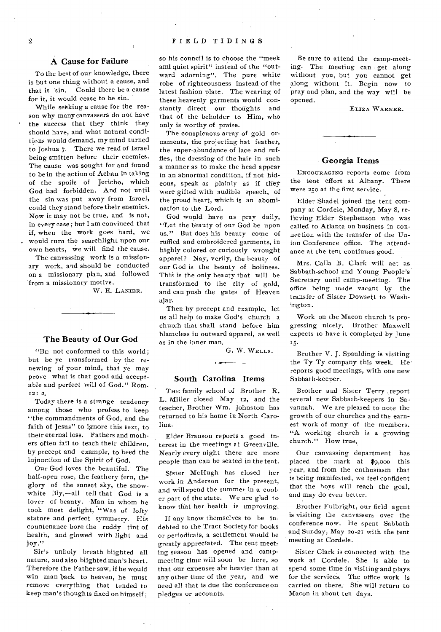#### **A** Cause for Failure

To the beet of our knowledge, there is but one thing without a cause, and that is 'sin. Could there be a cause for it, it would cease to be sin.

While seeking a cause for the reason why many canvassers do not have the success that they think they should have, and what natural conditions would demand, my mind turned to Joshua 7. There we read of Israel being smitten before their enemies. The cause was sought for and found to be in the action of Achan in taking of the spoils of Jericho, which God had forbidden. And not until the sin was put away from Israel, could they stand before their enemies. Now it may not be true, and is not, in every case ; but I am convinced that if, when the work goes hard, we would turn the searchlight upon our, own hearts, we will find the cause.

The canvassing work is a missionary work, and should be conducted on a missionary plan, and followed from a missionary motive.

W. E. LANIER.

#### The Beauty of Our God

"BE not conformed to this world ; but be ye transformed by the renewing of your mind, that ye may prove what is that good and acceptable and perfect will of God." Rom. I2: 2.

Today there is a strange tendency among those who profess to keep "the commandments of God, and the faith of Jesus" to ignore this text, to their eternal loss. Fathers and mothers often fail to teach their children, by precept and example, to heed the injunction of the Spirit of God.

Our God loves the beautiful. The half-open rose, the feathery fern, the glory of the sunset sky, the snowwhite lily,—all tell that God is a lover of beauty. Man in whom he took most delight, "Was of lofty stature and perfect symmetry. His countenance bore the ruddy tint of health, and glowed with light and joy."

Sir's unholy breath blighted all nature, and also blighted man's heart. Therefore the Father saw, if he would win man back to heaven, he must remove everything that tended to keep man's thoughts fixed on himself ; so his council is to choose the "meek and quiet spirit" instead of the "outward adorning". The pure white robe of righteousness instead of the latest fashion plate. The wearing of these heavenly garments would constantly direct our thoughts and that of the beholder to Him, who only is worthy of praise.

The conspicuous array of gold ornaments, the projecting hat feather, the super-abundance of lace and ruffles, the dressing of the hair in such a manner as to make the head appear in an abnormal condition, if not hideous, speak as plainly as if they were gifted with audible speech, of the proud heart, which is an abomination to the Lord.

God would have us pray daily, "Let the beauty of our God be upon us." But does his beauty come of ruffled and embroidered garments, in highly colored or curiously wrought apparel? Nay, verily, the beauty of our God is the beauty of holiness. This is the only beauty that will be transformed to the city of gold, and can push the gates of Heaven ajar.

Then by precept and example, let us all help to make God's church a church that shall stand before him blameless in outward apparel, as well as in the inner man.

G. W. WELLS.

#### South Carolina Items

THE family school of Brother R. L. Miller closed May 12, and the teacher, Brother Wm. Johnston has returned to his home in North Carolina.

Elder Branson reports a good interest in the meetings at Greenville. Nearly every night there are more people than can be seated in the tent.

Sister McHugh has closed her work in Anderson for the present, and will spend the summer in a cooler part of the state. We are glad to know that her health is improving.

If any know themselves to be indebted to the Tract Society for books or periodicals, a settlement would be greatly appreciated. The tent meeting season has opened and campmeeting time will soon be here, so that our expenses are heavier than at any other time of the year, and we need all that is due the conference on pledges or accounts.

Be sure to attend the camp-meeting. The meeting can get along without you, but you cannot get along without it. Begin now to pray and plan, and the way will be opened.

ELIZA WARNER.

#### Georgia Items

ENCOURAGING reports come from the tent effort at Albany. There were 250 at the first service.

Elder Shadel joined the tent company at Cordele, Monday, May 8, relieving Elder Stephenson who was called to Atlanta on business in connection with the transfer of the Union Conference office. The attendance at the tent continues good.

Mrs. Calla B. Clark will act as Sabbath-school and Young People's Secretary until camp-meeting. The office being made vacant by the transfer of Sister Dowsett to Washington.

Work on the Macon church is progressing nicely. Brother Maxwell expects to have it completed by June 15.

Brother V. J. Spaulding is visiting the Ty Ty company this week. He' reports good meetings, with one new Sabbath-keeper.

Brother and Sister Terry ,report several new Sabbath-keepers in Savannah. We are pleased to note the growth of our churches and the earnest work of many of the members. "A working church is a growing church." How true.

Our canvassing department has placed the mark at \$9,000 this year, and from the enthusiasm that is being manifested, we feel confident that the boys will reach the goal, and may do even better.

Brother Fulbright, our field agent is visiting the canvassers over the conference now. He spent Sabbath and. Sunday, May 20-21 with the tent meeting at Cordele.

Sister Clark is connected with the work at Cordele. She is able to spend some time in visiting and plays for the services. The office work is carried on there. She will return to Macon in about ten days.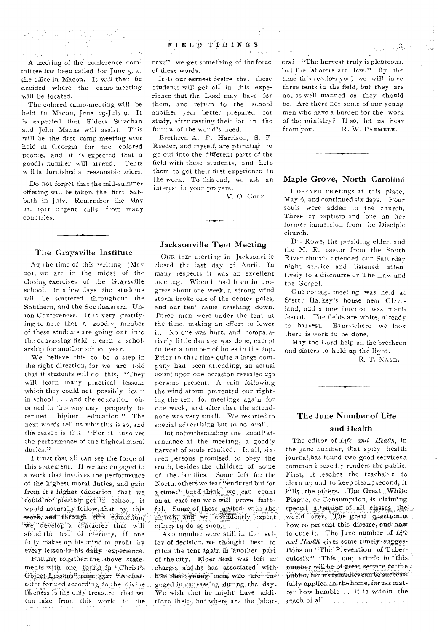they were also and a subsequently as a short with the short of the subsequent of the subsequent of the subsequent of the subsequent of the subsequent of the subsequent of the subsequent of the subsequent of the subsequent

A meeting of the conference committee has been called for June 5, at the office in Macon. It will then be decided where the camp-meeting will be located.

The colored camp-meeting will be held in Macon, June 29-July 9. It is expected that Elders Strachan and John Manns will assist. This will be the first camp-meeting ever held in Georgia for the colored people, and it is expected that a goodly number will attend. Tents will be furnished at reasonable prices.

Do not forget that the mid-summer offering will be taken. the first Sabbath in July. Remember the May 21, 1911 urgent calls from many countries.

### The Graysville Institute

An the time of this writing (May zo), we are in the midst of the closing exercises of the Graysville school. In a few days the students will be scattered throughout the Southern, and the Southeastern Union Conferences. It is very gratifying to note that a goodly number of these students are going out into the canvassing field to earn a scholarship for another school year.

We believe this to be a step in the right direction, for we are told that if students will co this, "They will learn many practical lessons which they could net possibly learn in school . . . and the education obtained in this way may properly he termed higher education." The next words tell us why this is so, and the reason is this; "For it involves the performance of the highest moral duties."

I trust that all can see the force of this statement. If we are engaged in a work that involves the performance of the highest moral duties, and gain from it a higher education that we could not possibly get in school, it would naturally follow, that by this work, and through this education, we develop a character that will stand the test of eternity, if one fully makes up his mind to profit by every lesson in-his daily experience.

Putting together.the above statements with one found in "Christ's, Object Lessons" page 332. "A character formed according to the divine. likeness is the only treasure that we can take from this world to the

 $\sim_{2}$ 

next", we-get something of the force of these word's.

It is our earnest desire that these students will get all in this experience that the Lord may have for them, and return to the school another year better prepared for study, after casting their lot in the furrow of the world's need.

Brethren A. F. Harrison, S. F. Reeder, and myself, are planning to go out into the different parts of the field with these students, and help them to get their first experience in the work. To this end, we ask an interest in your prayers.

V. 0. COLE.

### Jacksonville Tent Meeting

OUR tent meeting in Jacksonville closed the last day of April. In many respects it was an excellent meeting. When it had been in progress about one week, a strong wind storm broke one of the center poles, and our tent came crashing down. Three men were under the tent at the time, making an effort to lower it. No one was hurt, and comparatively little damage was done, except to tear a number of holes in the top. Prior to th it time quite a large company had been attending, an actual count upon one occasion revealed 25o persons present. A rain following the wind storm prevented our righting the tent for meetings again for one week, and after that the attendance was very small. We resorted to special advertising but to no avail.

But notwithstanding the small' attendance at the meeting, a goodly harvest of souls resulted. In all, sixteen persons promised\_ to obey the truth, besides the children of some of the • families. Some left for the North, others we fear "endured but for a time;" but-I think we can count on at least. ten who will prove faith ful. Some of these united with the church, and we confidently expect others to do so soon.

As a number were still in the valley of decision, we thought best to pitch the tent again In another part of the city. Elder Bied was left in charge, and he has associated withhim three young men, who are engaged in canvassing during the day. We wish that he might have additiona lhelp, but where are the labor-

ers? "The harvest truly is plenteous. but the laborers are few." By the time this reaches you, we will have three tents in the field, but they are not as well manned as they should he. Are there not some of our young men who have a burden for the work of the ministry? If so, let us hear from you. R. W. PARMELE.

 $\mathcal{L}_{\text{c}}$  ,  $\mathcal{A}_{\text{c}}$ 

### Maple Grove, North Carolina

 $\overline{\phantom{a}}$ 

I OPENED meetings at this place, May 6, and continued six days. Four souls were added to the church. Three by baptism and one on her former immersion from the Disciple church.

Dr. Rowe, the presiding elder, and the M. E. pastor from the South River church attended our Saturday night service and listened attentively to a discourse on The Law and the Gospel.

One cottage meeting was held at Sister Harkey's house near Cleveland, and a new interest was manifested. The fields are white, already<br>to harvest. Everywhere we look Everywhere we look there is work to be done.

May the Lord help all the brethren and sisters to hold up the light.

R. T. NASH.

# The June Number of Life and Health

The editor of *Life and Health,* in the June number, that spicy health journal,has found two good services a common house fly renders the public. First, it teaches the, teachable to clean up and to keep clean ; second, it kills the others. The Great White Plague, or Consumption, is claiming special at ention of all classes the world over. The great question is. how to prevent this disease, and how to cure it. The June number of *Life*  and Health gives some timely-suggestions on "The Prevention of Tuberculosis:" This one article in this number will be of great service to the public, for its remedies can be success $fully applied in the home, for no matrix.$ ter how humble .. it is within the reach of all, we have a manifest of